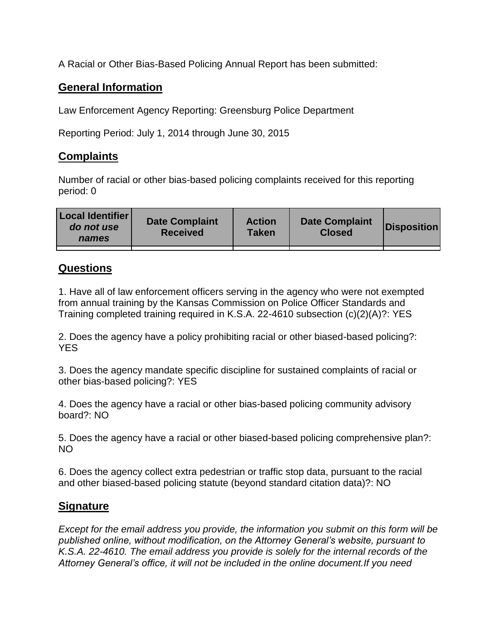A Racial or Other Bias-Based Policing Annual Report has been submitted:

## **General Information**

Law Enforcement Agency Reporting: Greensburg Police Department

Reporting Period: July 1, 2014 through June 30, 2015

## **Complaints**

Number of racial or other bias-based policing complaints received for this reporting period: 0

| <b>Local Identifier</b><br>do not use<br>names | <b>Date Complaint</b><br><b>Received</b> | <b>Action</b><br><b>Taken</b> | <b>Date Complaint</b><br><b>Closed</b> | Disposition |
|------------------------------------------------|------------------------------------------|-------------------------------|----------------------------------------|-------------|
|                                                |                                          |                               |                                        |             |

## **Questions**

1. Have all of law enforcement officers serving in the agency who were not exempted from annual training by the Kansas Commission on Police Officer Standards and Training completed training required in K.S.A. 22-4610 subsection (c)(2)(A)?: YES

2. Does the agency have a policy prohibiting racial or other biased-based policing?: YES

3. Does the agency mandate specific discipline for sustained complaints of racial or other bias-based policing?: YES

4. Does the agency have a racial or other bias-based policing community advisory board?: NO

5. Does the agency have a racial or other biased-based policing comprehensive plan?: NO

6. Does the agency collect extra pedestrian or traffic stop data, pursuant to the racial and other biased-based policing statute (beyond standard citation data)?: NO

## **Signature**

*Except for the email address you provide, the information you submit on this form will be published online, without modification, on the Attorney General's website, pursuant to K.S.A. 22-4610. The email address you provide is solely for the internal records of the Attorney General's office, it will not be included in the online document.If you need*